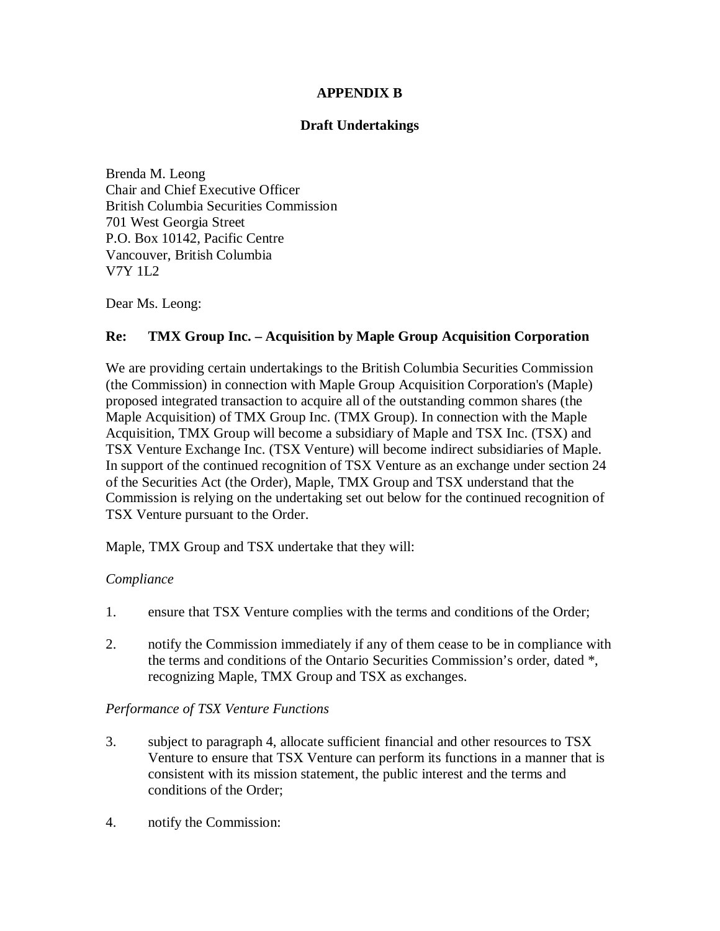### **APPENDIX B**

## **Draft Undertakings**

Brenda M. Leong Chair and Chief Executive Officer British Columbia Securities Commission 701 West Georgia Street P.O. Box 10142, Pacific Centre Vancouver, British Columbia V7Y 1L2

Dear Ms. Leong:

## **Re: TMX Group Inc. – Acquisition by Maple Group Acquisition Corporation**

We are providing certain undertakings to the British Columbia Securities Commission (the Commission) in connection with Maple Group Acquisition Corporation's (Maple) proposed integrated transaction to acquire all of the outstanding common shares (the Maple Acquisition) of TMX Group Inc. (TMX Group). In connection with the Maple Acquisition, TMX Group will become a subsidiary of Maple and TSX Inc. (TSX) and TSX Venture Exchange Inc. (TSX Venture) will become indirect subsidiaries of Maple. In support of the continued recognition of TSX Venture as an exchange under section 24 of the Securities Act (the Order), Maple, TMX Group and TSX understand that the Commission is relying on the undertaking set out below for the continued recognition of TSX Venture pursuant to the Order.

Maple, TMX Group and TSX undertake that they will:

### *Compliance*

- 1. ensure that TSX Venture complies with the terms and conditions of the Order;
- 2. notify the Commission immediately if any of them cease to be in compliance with the terms and conditions of the Ontario Securities Commission's order, dated \*, recognizing Maple, TMX Group and TSX as exchanges.

### *Performance of TSX Venture Functions*

- 3. subject to paragraph 4, allocate sufficient financial and other resources to TSX Venture to ensure that TSX Venture can perform its functions in a manner that is consistent with its mission statement, the public interest and the terms and conditions of the Order;
- 4. notify the Commission: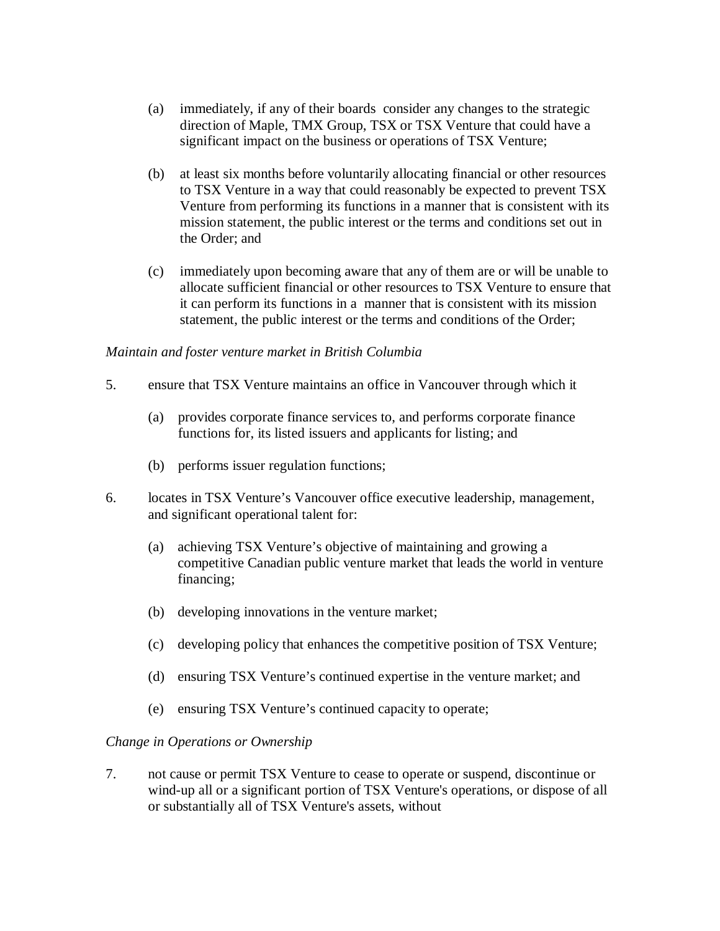- (a) immediately, if any of their boards consider any changes to the strategic direction of Maple, TMX Group, TSX or TSX Venture that could have a significant impact on the business or operations of TSX Venture;
- (b) at least six months before voluntarily allocating financial or other resources to TSX Venture in a way that could reasonably be expected to prevent TSX Venture from performing its functions in a manner that is consistent with its mission statement, the public interest or the terms and conditions set out in the Order; and
- (c) immediately upon becoming aware that any of them are or will be unable to allocate sufficient financial or other resources to TSX Venture to ensure that it can perform its functions in a manner that is consistent with its mission statement, the public interest or the terms and conditions of the Order;

### *Maintain and foster venture market in British Columbia*

- 5. ensure that TSX Venture maintains an office in Vancouver through which it
	- (a) provides corporate finance services to, and performs corporate finance functions for, its listed issuers and applicants for listing; and
	- (b) performs issuer regulation functions;
- 6. locates in TSX Venture's Vancouver office executive leadership, management, and significant operational talent for:
	- (a) achieving TSX Venture's objective of maintaining and growing a competitive Canadian public venture market that leads the world in venture financing;
	- (b) developing innovations in the venture market;
	- (c) developing policy that enhances the competitive position of TSX Venture;
	- (d) ensuring TSX Venture's continued expertise in the venture market; and
	- (e) ensuring TSX Venture's continued capacity to operate;

### *Change in Operations or Ownership*

7. not cause or permit TSX Venture to cease to operate or suspend, discontinue or wind-up all or a significant portion of TSX Venture's operations, or dispose of all or substantially all of TSX Venture's assets, without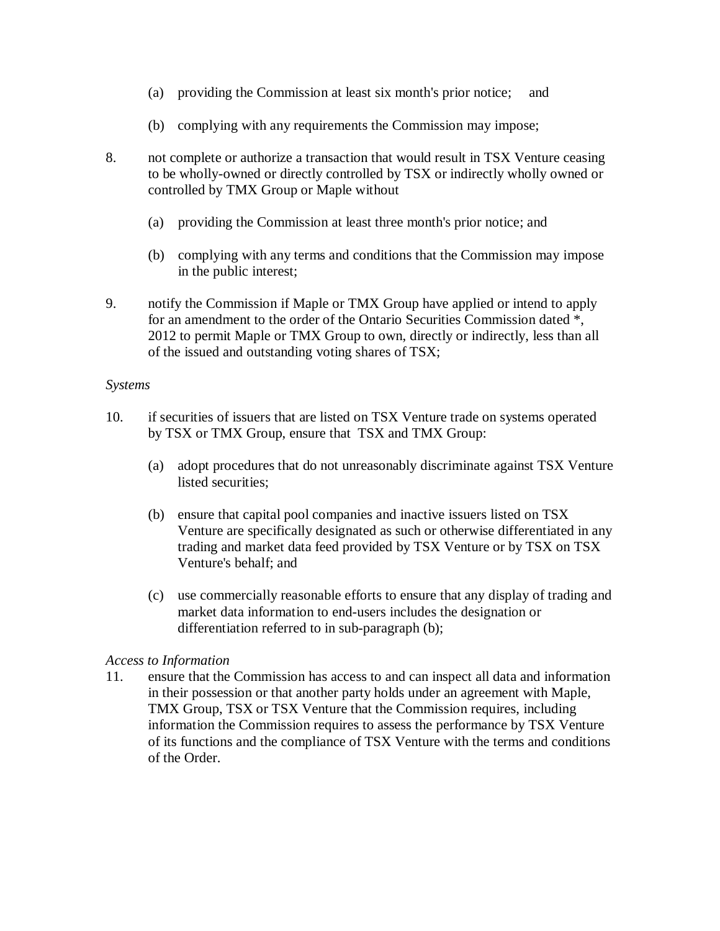- (a) providing the Commission at least six month's prior notice; and
- (b) complying with any requirements the Commission may impose;
- 8. not complete or authorize a transaction that would result in TSX Venture ceasing to be wholly-owned or directly controlled by TSX or indirectly wholly owned or controlled by TMX Group or Maple without
	- (a) providing the Commission at least three month's prior notice; and
	- (b) complying with any terms and conditions that the Commission may impose in the public interest;
- 9. notify the Commission if Maple or TMX Group have applied or intend to apply for an amendment to the order of the Ontario Securities Commission dated \*, 2012 to permit Maple or TMX Group to own, directly or indirectly, less than all of the issued and outstanding voting shares of TSX;

### *Systems*

- 10. if securities of issuers that are listed on TSX Venture trade on systems operated by TSX or TMX Group, ensure that TSX and TMX Group:
	- (a) adopt procedures that do not unreasonably discriminate against TSX Venture listed securities;
	- (b) ensure that capital pool companies and inactive issuers listed on TSX Venture are specifically designated as such or otherwise differentiated in any trading and market data feed provided by TSX Venture or by TSX on TSX Venture's behalf; and
	- (c) use commercially reasonable efforts to ensure that any display of trading and market data information to end-users includes the designation or differentiation referred to in sub-paragraph (b);

### *Access to Information*

11. ensure that the Commission has access to and can inspect all data and information in their possession or that another party holds under an agreement with Maple, TMX Group, TSX or TSX Venture that the Commission requires, including information the Commission requires to assess the performance by TSX Venture of its functions and the compliance of TSX Venture with the terms and conditions of the Order.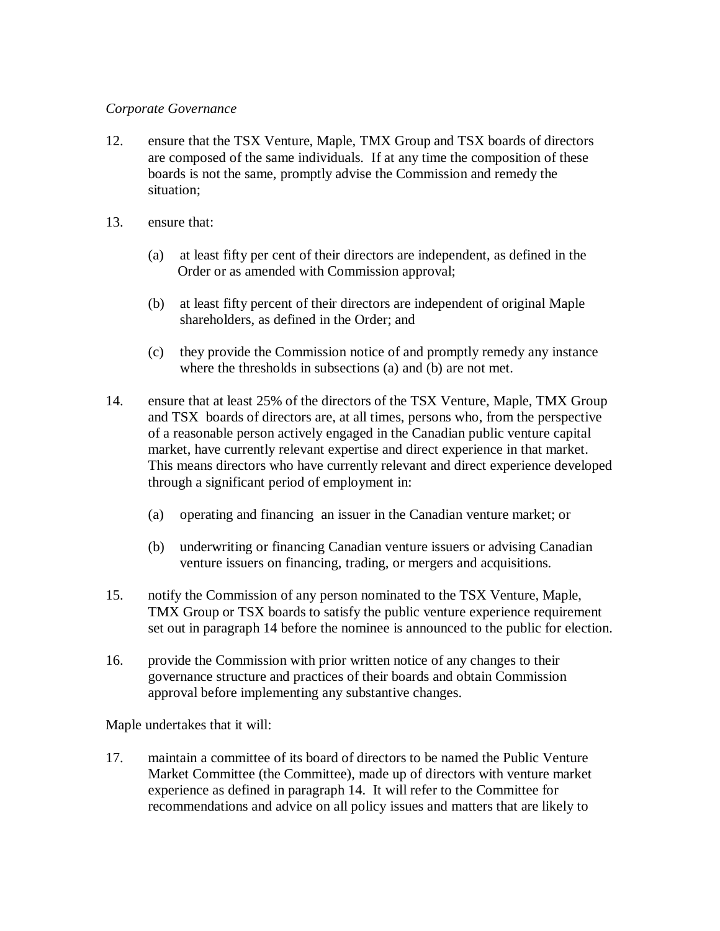### *Corporate Governance*

- 12. ensure that the TSX Venture, Maple, TMX Group and TSX boards of directors are composed of the same individuals. If at any time the composition of these boards is not the same, promptly advise the Commission and remedy the situation;
- 13. ensure that:
	- (a) at least fifty per cent of their directors are independent, as defined in the Order or as amended with Commission approval;
	- (b) at least fifty percent of their directors are independent of original Maple shareholders, as defined in the Order; and
	- (c) they provide the Commission notice of and promptly remedy any instance where the thresholds in subsections (a) and (b) are not met.
- 14. ensure that at least 25% of the directors of the TSX Venture, Maple, TMX Group and TSX boards of directors are, at all times, persons who, from the perspective of a reasonable person actively engaged in the Canadian public venture capital market, have currently relevant expertise and direct experience in that market. This means directors who have currently relevant and direct experience developed through a significant period of employment in:
	- (a) operating and financing an issuer in the Canadian venture market; or
	- (b) underwriting or financing Canadian venture issuers or advising Canadian venture issuers on financing, trading, or mergers and acquisitions.
- 15. notify the Commission of any person nominated to the TSX Venture, Maple, TMX Group or TSX boards to satisfy the public venture experience requirement set out in paragraph 14 before the nominee is announced to the public for election.
- 16. provide the Commission with prior written notice of any changes to their governance structure and practices of their boards and obtain Commission approval before implementing any substantive changes.

Maple undertakes that it will:

17. maintain a committee of its board of directors to be named the Public Venture Market Committee (the Committee), made up of directors with venture market experience as defined in paragraph 14. It will refer to the Committee for recommendations and advice on all policy issues and matters that are likely to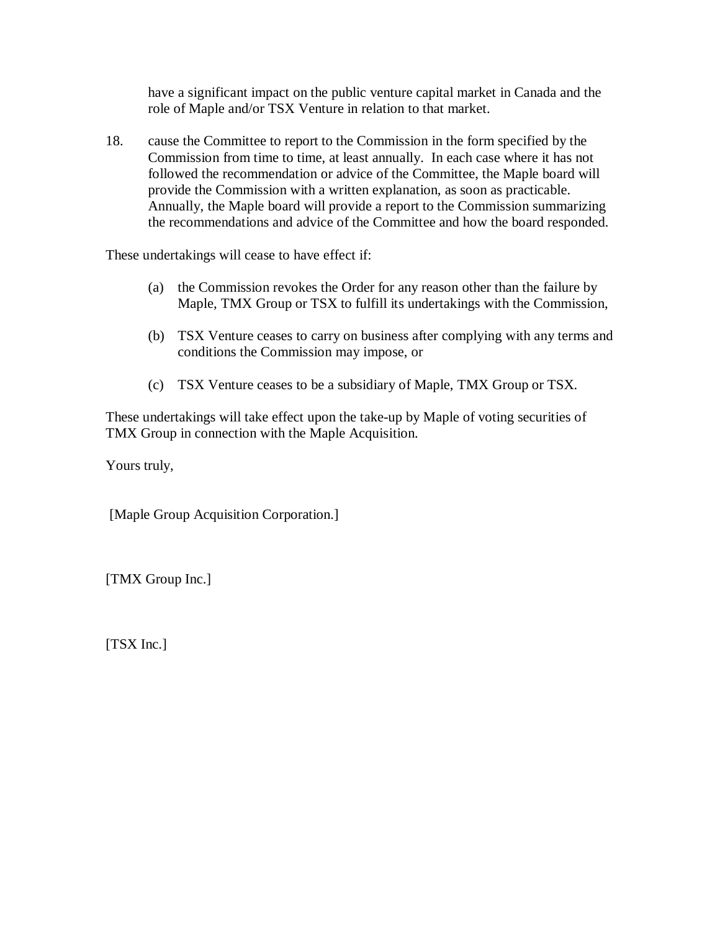have a significant impact on the public venture capital market in Canada and the role of Maple and/or TSX Venture in relation to that market.

18. cause the Committee to report to the Commission in the form specified by the Commission from time to time, at least annually. In each case where it has not followed the recommendation or advice of the Committee, the Maple board will provide the Commission with a written explanation, as soon as practicable. Annually, the Maple board will provide a report to the Commission summarizing the recommendations and advice of the Committee and how the board responded.

These undertakings will cease to have effect if:

- (a) the Commission revokes the Order for any reason other than the failure by Maple, TMX Group or TSX to fulfill its undertakings with the Commission,
- (b) TSX Venture ceases to carry on business after complying with any terms and conditions the Commission may impose, or
- (c) TSX Venture ceases to be a subsidiary of Maple, TMX Group or TSX.

These undertakings will take effect upon the take-up by Maple of voting securities of TMX Group in connection with the Maple Acquisition.

Yours truly,

[Maple Group Acquisition Corporation.]

[TMX Group Inc.]

[TSX Inc.]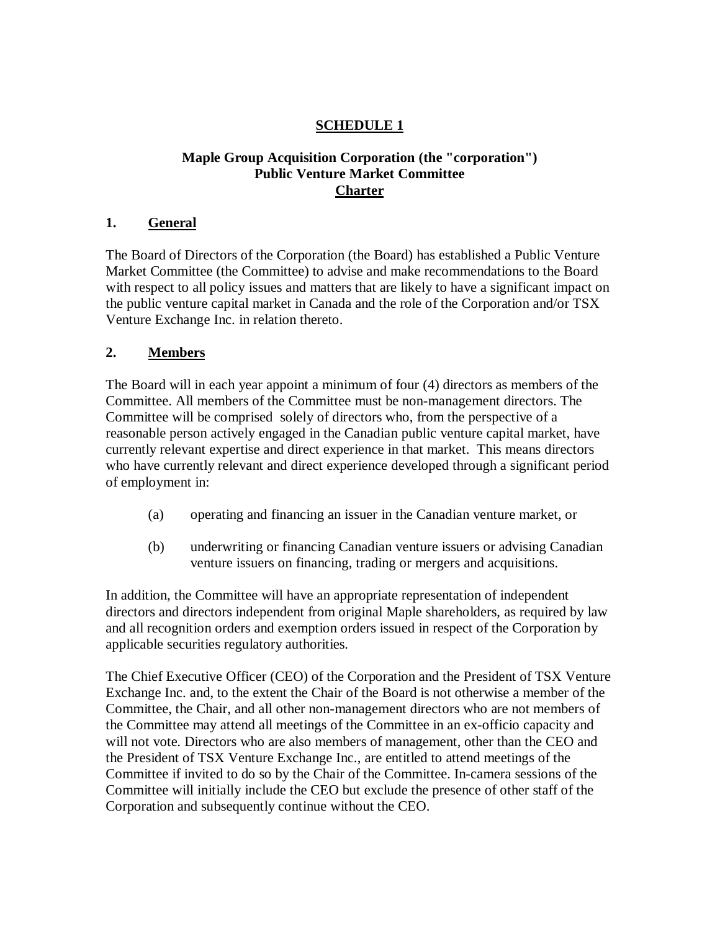# **SCHEDULE 1**

### **Maple Group Acquisition Corporation (the "corporation") Public Venture Market Committee Charter**

## **1. General**

The Board of Directors of the Corporation (the Board) has established a Public Venture Market Committee (the Committee) to advise and make recommendations to the Board with respect to all policy issues and matters that are likely to have a significant impact on the public venture capital market in Canada and the role of the Corporation and/or TSX Venture Exchange Inc. in relation thereto.

## **2. Members**

The Board will in each year appoint a minimum of four (4) directors as members of the Committee. All members of the Committee must be non-management directors. The Committee will be comprised solely of directors who, from the perspective of a reasonable person actively engaged in the Canadian public venture capital market, have currently relevant expertise and direct experience in that market. This means directors who have currently relevant and direct experience developed through a significant period of employment in:

- (a) operating and financing an issuer in the Canadian venture market, or
- (b) underwriting or financing Canadian venture issuers or advising Canadian venture issuers on financing, trading or mergers and acquisitions.

In addition, the Committee will have an appropriate representation of independent directors and directors independent from original Maple shareholders, as required by law and all recognition orders and exemption orders issued in respect of the Corporation by applicable securities regulatory authorities.

The Chief Executive Officer (CEO) of the Corporation and the President of TSX Venture Exchange Inc. and, to the extent the Chair of the Board is not otherwise a member of the Committee, the Chair, and all other non-management directors who are not members of the Committee may attend all meetings of the Committee in an ex-officio capacity and will not vote. Directors who are also members of management, other than the CEO and the President of TSX Venture Exchange Inc., are entitled to attend meetings of the Committee if invited to do so by the Chair of the Committee. In-camera sessions of the Committee will initially include the CEO but exclude the presence of other staff of the Corporation and subsequently continue without the CEO.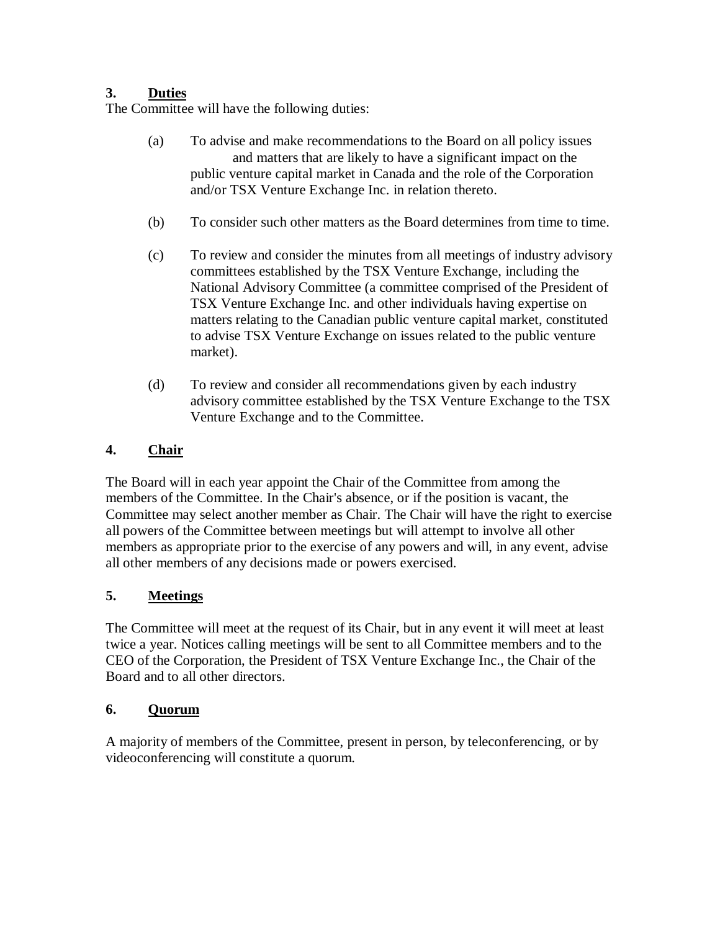# **3. Duties**

The Committee will have the following duties:

- (a) To advise and make recommendations to the Board on all policy issues and matters that are likely to have a significant impact on the public venture capital market in Canada and the role of the Corporation and/or TSX Venture Exchange Inc. in relation thereto.
- (b) To consider such other matters as the Board determines from time to time.
- (c) To review and consider the minutes from all meetings of industry advisory committees established by the TSX Venture Exchange, including the National Advisory Committee (a committee comprised of the President of TSX Venture Exchange Inc. and other individuals having expertise on matters relating to the Canadian public venture capital market, constituted to advise TSX Venture Exchange on issues related to the public venture market).
- (d) To review and consider all recommendations given by each industry advisory committee established by the TSX Venture Exchange to the TSX Venture Exchange and to the Committee.

# **4. Chair**

The Board will in each year appoint the Chair of the Committee from among the members of the Committee. In the Chair's absence, or if the position is vacant, the Committee may select another member as Chair. The Chair will have the right to exercise all powers of the Committee between meetings but will attempt to involve all other members as appropriate prior to the exercise of any powers and will, in any event, advise all other members of any decisions made or powers exercised.

# **5. Meetings**

The Committee will meet at the request of its Chair, but in any event it will meet at least twice a year. Notices calling meetings will be sent to all Committee members and to the CEO of the Corporation, the President of TSX Venture Exchange Inc., the Chair of the Board and to all other directors.

# **6. Quorum**

A majority of members of the Committee, present in person, by teleconferencing, or by videoconferencing will constitute a quorum.